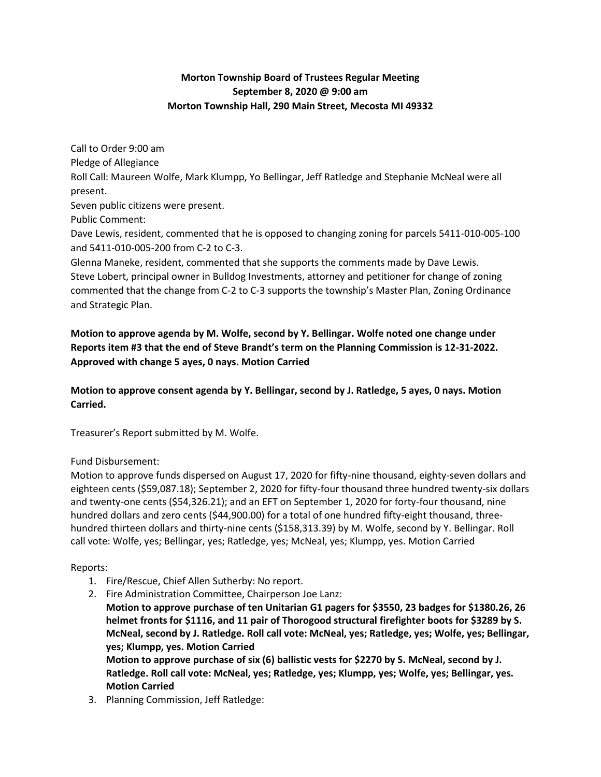## **Morton Township Board of Trustees Regular Meeting September 8, 2020 @ 9:00 am Morton Township Hall, 290 Main Street, Mecosta MI 49332**

Call to Order 9:00 am Pledge of Allegiance Roll Call: Maureen Wolfe, Mark Klumpp, Yo Bellingar, Jeff Ratledge and Stephanie McNeal were all present. Seven public citizens were present. Public Comment: Dave Lewis, resident, commented that he is opposed to changing zoning for parcels 5411-010-005-100 and 5411-010-005-200 from C-2 to C-3. Glenna Maneke, resident, commented that she supports the comments made by Dave Lewis. Steve Lobert, principal owner in Bulldog Investments, attorney and petitioner for change of zoning commented that the change from C-2 to C-3 supports the township's Master Plan, Zoning Ordinance

and Strategic Plan.

# **Motion to approve agenda by M. Wolfe, second by Y. Bellingar. Wolfe noted one change under Reports item #3 that the end of Steve Brandt's term on the Planning Commission is 12-31-2022. Approved with change 5 ayes, 0 nays. Motion Carried**

**Motion to approve consent agenda by Y. Bellingar, second by J. Ratledge, 5 ayes, 0 nays. Motion Carried.**

Treasurer's Report submitted by M. Wolfe.

## Fund Disbursement:

Motion to approve funds dispersed on August 17, 2020 for fifty-nine thousand, eighty-seven dollars and eighteen cents (\$59,087.18); September 2, 2020 for fifty-four thousand three hundred twenty-six dollars and twenty-one cents (\$54,326.21); and an EFT on September 1, 2020 for forty-four thousand, nine hundred dollars and zero cents (\$44,900.00) for a total of one hundred fifty-eight thousand, threehundred thirteen dollars and thirty-nine cents (\$158,313.39) by M. Wolfe, second by Y. Bellingar. Roll call vote: Wolfe, yes; Bellingar, yes; Ratledge, yes; McNeal, yes; Klumpp, yes. Motion Carried

## Reports:

- 1. Fire/Rescue, Chief Allen Sutherby: No report.
- 2. Fire Administration Committee, Chairperson Joe Lanz:

**Motion to approve purchase of ten Unitarian G1 pagers for \$3550, 23 badges for \$1380.26, 26 helmet fronts for \$1116, and 11 pair of Thorogood structural firefighter boots for \$3289 by S. McNeal, second by J. Ratledge. Roll call vote: McNeal, yes; Ratledge, yes; Wolfe, yes; Bellingar, yes; Klumpp, yes. Motion Carried**

**Motion to approve purchase of six (6) ballistic vests for \$2270 by S. McNeal, second by J. Ratledge. Roll call vote: McNeal, yes; Ratledge, yes; Klumpp, yes; Wolfe, yes; Bellingar, yes. Motion Carried**

3. Planning Commission, Jeff Ratledge: